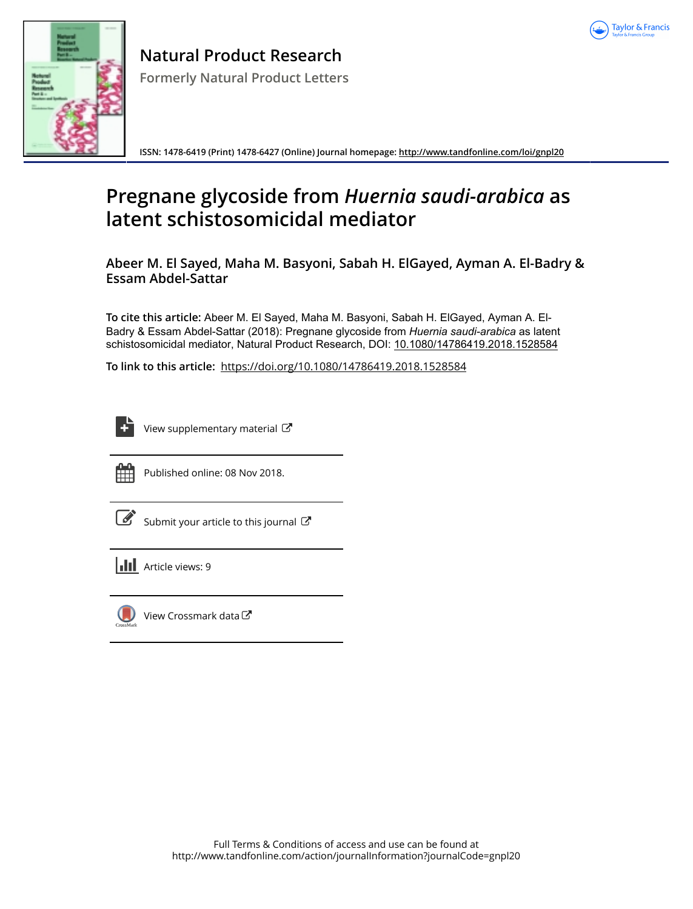



**ISSN: 1478-6419 (Print) 1478-6427 (Online) Journal homepage:<http://www.tandfonline.com/loi/gnpl20>**

# **Pregnane glycoside from** *Huernia saudi-arabica* **as latent schistosomicidal mediator**

**Abeer M. El Sayed, Maha M. Basyoni, Sabah H. ElGayed, Ayman A. El-Badry & Essam Abdel-Sattar**

**To cite this article:** Abeer M. El Sayed, Maha M. Basyoni, Sabah H. ElGayed, Ayman A. El-Badry & Essam Abdel-Sattar (2018): Pregnane glycoside from *Huernia saudi-arabica* as latent schistosomicidal mediator, Natural Product Research, DOI: [10.1080/14786419.2018.1528584](http://www.tandfonline.com/action/showCitFormats?doi=10.1080/14786419.2018.1528584)

**To link to this article:** <https://doi.org/10.1080/14786419.2018.1528584>

| _      |
|--------|
| -<br>٠ |

[View supplementary material](http://www.tandfonline.com/doi/suppl/10.1080/14786419.2018.1528584)  $\mathbb{Z}$ 



Published online: 08 Nov 2018.

[Submit your article to this journal](http://www.tandfonline.com/action/authorSubmission?journalCode=gnpl20&show=instructions)  $\mathbb{Z}$ 

| <b>III</b> Article views: 9 |  |
|-----------------------------|--|
|                             |  |



[View Crossmark data](http://crossmark.crossref.org/dialog/?doi=10.1080/14786419.2018.1528584&domain=pdf&date_stamp=2018-11-08)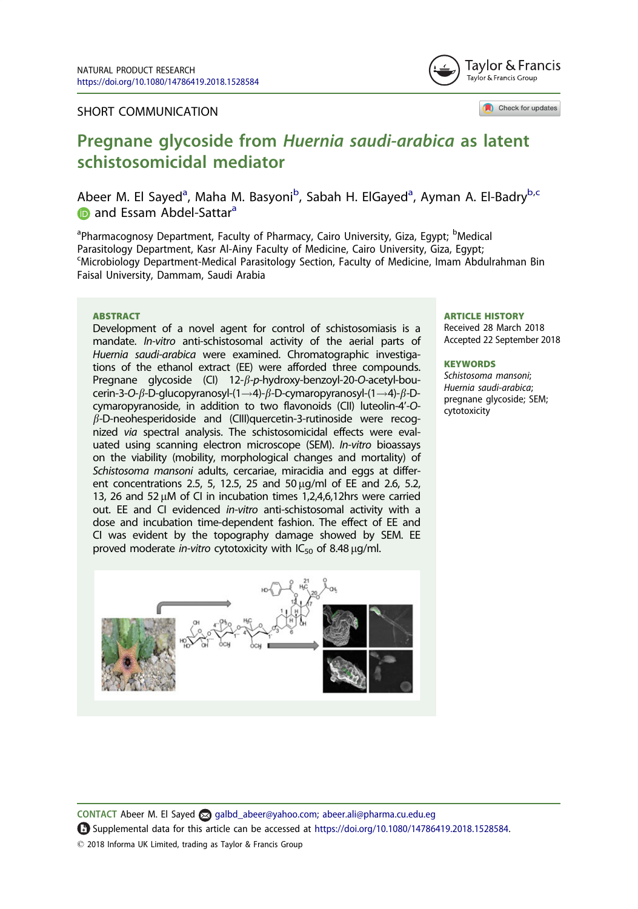#### SHORT COMMUNICATION



Check for updates

# Pregnane glycoside from Huernia saudi-arabica as latent schistosomicidal mediator

Abeer M. El Sayed<sup>a</sup>, Maha M. Basyoni<sup>b</sup>, Sabah H. ElGayed<sup>a</sup>, Ayman A. El-Badry<sup>b,c</sup> **and Essam Abdel-Sattara** 

<sup>a</sup>Pharmacognosy Department, Faculty of Pharmacy, Cairo University, Giza, Egypt; <sup>b</sup>Medical Parasitology Department, Kasr Al-Ainy Faculty of Medicine, Cairo University, Giza, Egypt; c Microbiology Department-Medical Parasitology Section, Faculty of Medicine, Imam Abdulrahman Bin Faisal University, Dammam, Saudi Arabia

#### ABSTRACT

Development of a novel agent for control of schistosomiasis is a mandate. In-vitro anti-schistosomal activity of the aerial parts of Huernia saudi-arabica were examined. Chromatographic investigations of the ethanol extract (EE) were afforded three compounds. Pregnane glycoside (CI)  $12-\beta-p$ -hydroxy-benzoyl-20-O-acetyl-boucerin-3-O- $\beta$ -D-glucopyranosyl-(1--4)- $\beta$ -D-cymaropyranosyl-(1--4)- $\beta$ -Dcymaropyranoside, in addition to two flavonoids (CII) luteolin-4'-O- $\beta$ -D-neohesperidoside and (CIII)quercetin-3-rutinoside were recognized via spectral analysis. The schistosomicidal effects were evaluated using scanning electron microscope (SEM). In-vitro bioassays on the viability (mobility, morphological changes and mortality) of Schistosoma mansoni adults, cercariae, miracidia and eggs at different concentrations 2.5, 5, 12.5, 25 and 50  $\mu$ g/ml of EE and 2.6, 5.2, 13, 26 and 52  $\mu$ M of CI in incubation times 1,2,4,6,12hrs were carried out. EE and CI evidenced in-vitro anti-schistosomal activity with a dose and incubation time-dependent fashion. The effect of EE and CI was evident by the topography damage showed by SEM. EE proved moderate in-vitro cytotoxicity with  $IC_{50}$  of 8.48  $\mu$ g/ml.



#### ARTICLE HISTORY

Received 28 March 2018 Accepted 22 September 2018

#### **KEYWORDS**

Schistosoma mansoni; Huernia saudi-arabica; pregnane glycoside; SEM; cytotoxicity

CONTACT Abeer M. El Sayed albd\_abeer@yahoo.com; abeer.ali@pharma.cu.edu.eg Supplemental data for this article can be accessed at <https://doi.org/10.1080/14786419.2018.1528584>. 2018 Informa UK Limited, trading as Taylor & Francis Group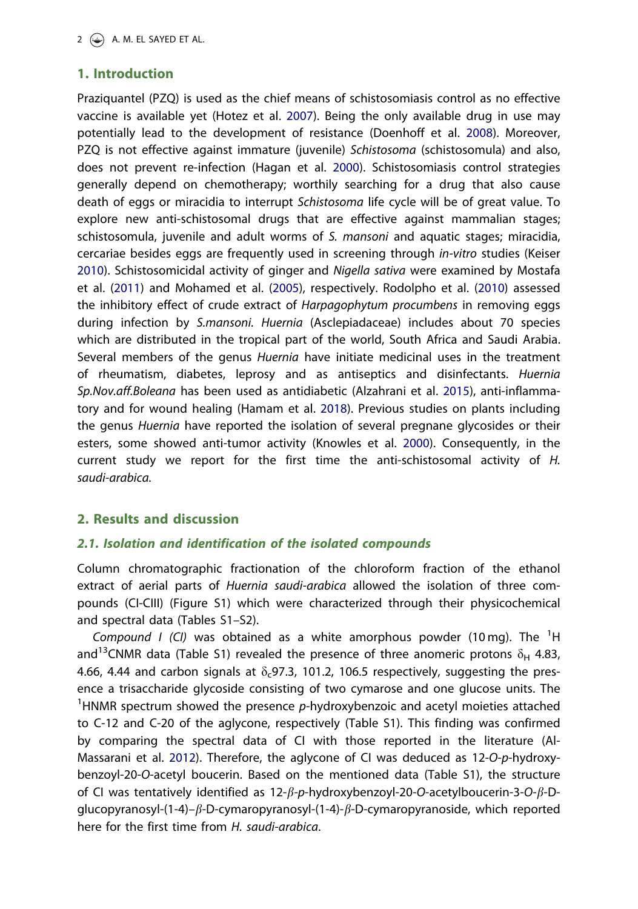# <span id="page-2-0"></span>1. Introduction

Praziquantel (PZQ) is used as the chief means of schistosomiasis control as no effective vaccine is available yet (Hotez et al. [2007](#page-6-0)). Being the only available drug in use may potentially lead to the development of resistance (Doenhoff et al. [2008](#page-5-0)). Moreover, PZQ is not effective against immature (juvenile) Schistosoma (schistosomula) and also, does not prevent re-infection (Hagan et al. [2000\)](#page-5-0). Schistosomiasis control strategies generally depend on chemotherapy; worthily searching for a drug that also cause death of eggs or miracidia to interrupt Schistosoma life cycle will be of great value. To explore new anti-schistosomal drugs that are effective against mammalian stages; schistosomula, juvenile and adult worms of S. mansoni and aquatic stages; miracidia, cercariae besides eggs are frequently used in screening through in-vitro studies (Keiser [2010](#page-6-0)). Schistosomicidal activity of ginger and Nigella sativa were examined by Mostafa et al. [\(2011\)](#page-6-0) and Mohamed et al. ([2005](#page-6-0)), respectively. Rodolpho et al. ([2010](#page-6-0)) assessed the inhibitory effect of crude extract of Harpagophytum procumbens in removing eggs during infection by S.mansoni. Huernia (Asclepiadaceae) includes about 70 species which are distributed in the tropical part of the world, South Africa and Saudi Arabia. Several members of the genus Huernia have initiate medicinal uses in the treatment of rheumatism, diabetes, leprosy and as antiseptics and disinfectants. Huernia Sp.Nov.aff.Boleana has been used as antidiabetic (Alzahrani et al. [2015](#page-5-0)), anti-inflammatory and for wound healing (Hamam et al. [2018](#page-5-0)). Previous studies on plants including the genus Huernia have reported the isolation of several pregnane glycosides or their esters, some showed anti-tumor activity (Knowles et al. [2000](#page-6-0)). Consequently, in the current study we report for the first time the anti-schistosomal activity of H. saudi-arabica.

## 2. Results and discussion

### 2.1. Isolation and identification of the isolated compounds

Column chromatographic fractionation of the chloroform fraction of the ethanol extract of aerial parts of Huernia saudi-arabica allowed the isolation of three compounds (CI-CIII) (Figure S1) which were characterized through their physicochemical and spectral data (Tables S1–S2).

Compound I (CI) was obtained as a white amorphous powder (10 mg). The  $^1$ H and<sup>13</sup>CNMR data (Table S1) revealed the presence of three anomeric protons  $\delta_H$  4.83, 4.66, 4.44 and carbon signals at  $\delta_{\rm c}$ 97.3, 101.2, 106.5 respectively, suggesting the presence a trisaccharide glycoside consisting of two cymarose and one glucose units. The <sup>1</sup>HNMR spectrum showed the presence  $p$ -hydroxybenzoic and acetyl moieties attached to C-12 and C-20 of the aglycone, respectively (Table S1). This finding was confirmed by comparing the spectral data of CI with those reported in the literature (Al-Massarani et al. [2012](#page-5-0)). Therefore, the aglycone of CI was deduced as 12-O-p-hydroxybenzoyl-20-O-acetyl boucerin. Based on the mentioned data (Table S1), the structure of CI was tentatively identified as  $12-\beta-p$ -hydroxybenzoyl-20-O-acetylboucerin-3-O- $\beta$ -Dglucopyranosyl-(1-4)- $\beta$ -D-cymaropyranosyl-(1-4)- $\beta$ -D-cymaropyranoside, which reported here for the first time from H. saudi-arabica.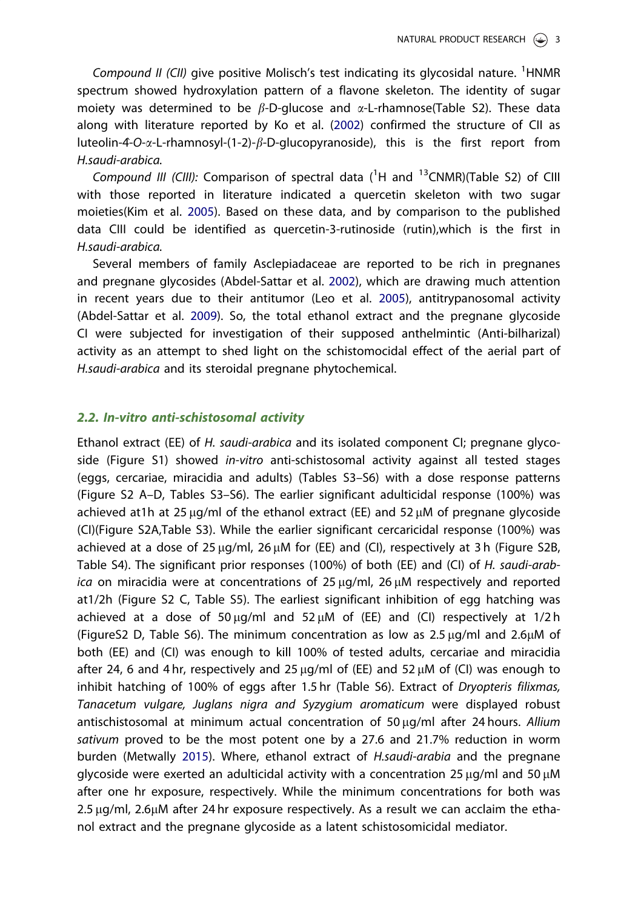<span id="page-3-0"></span>Compound II (CII) give positive Molisch's test indicating its glycosidal nature. <sup>1</sup>HNMR spectrum showed hydroxylation pattern of a flavone skeleton. The identity of sugar moiety was determined to be  $\beta$ -D-glucose and  $\alpha$ -L-rhamnose(Table S2). These data along with literature reported by Ko et al. [\(2002\)](#page-6-0) confirmed the structure of CII as luteolin-4-O- $\alpha$ -L-rhamnosyl-(1-2)- $\beta$ -D-glucopyranoside), this is the first report from H.saudi-arabica.

Compound III (CIII): Comparison of spectral data  $(^1H$  and  $^{13}$ CNMR)(Table S2) of CIII with those reported in literature indicated a quercetin skeleton with two sugar moieties(Kim et al. [2005\)](#page-6-0). Based on these data, and by comparison to the published data CIII could be identified as quercetin-3-rutinoside (rutin),which is the first in H.saudi-arabica.

Several members of family Asclepiadaceae are reported to be rich in pregnanes and pregnane glycosides (Abdel-Sattar et al. [2002\)](#page-5-0), which are drawing much attention in recent years due to their antitumor (Leo et al. [2005\)](#page-6-0), antitrypanosomal activity (Abdel-Sattar et al. [2009\)](#page-5-0). So, the total ethanol extract and the pregnane glycoside CI were subjected for investigation of their supposed anthelmintic (Anti-bilharizal) activity as an attempt to shed light on the schistomocidal effect of the aerial part of H.saudi-arabica and its steroidal pregnane phytochemical.

#### 2.2. In-vitro anti-schistosomal activity

Ethanol extract (EE) of H. saudi-arabica and its isolated component CI; pregnane glycoside (Figure S1) showed in-vitro anti-schistosomal activity against all tested stages (eggs, cercariae, miracidia and adults) (Tables S3–S6) with a dose response patterns (Figure S2 A–D, Tables S3–S6). The earlier significant adulticidal response (100%) was achieved at 1h at 25  $\mu$ g/ml of the ethanol extract (EE) and 52  $\mu$ M of pregnane glycoside (CI)(Figure S2A,Table S3). While the earlier significant cercaricidal response (100%) was achieved at a dose of 25  $\mu q$ /ml, 26  $\mu$ M for (EE) and (CI), respectively at 3 h (Figure S2B, Table S4). The significant prior responses (100%) of both (EE) and (CI) of H. saudi-arab $ica$  on miracidia were at concentrations of 25  $\mu q/ml$ , 26  $\mu M$  respectively and reported at1/2h (Figure S2 C, Table S5). The earliest significant inhibition of egg hatching was achieved at a dose of 50  $\mu$ g/ml and 52  $\mu$ M of (EE) and (CI) respectively at 1/2 h (FigureS2 D, Table S6). The minimum concentration as low as  $2.5 \mu q/ml$  and  $2.6 \mu M$  of both (EE) and (CI) was enough to kill 100% of tested adults, cercariae and miracidia after 24, 6 and 4 hr, respectively and 25  $\mu$ g/ml of (EE) and 52  $\mu$ M of (CI) was enough to inhibit hatching of 100% of eggs after 1.5 hr (Table S6). Extract of Dryopteris filixmas, Tanacetum vulgare, Juglans nigra and Syzygium aromaticum were displayed robust antischistosomal at minimum actual concentration of  $50 \mu q/ml$  after 24 hours. Allium sativum proved to be the most potent one by a 27.6 and 21.7% reduction in worm burden (Metwally [2015](#page-6-0)). Where, ethanol extract of H.saudi-arabia and the pregnane glycoside were exerted an adulticidal activity with a concentration 25  $\mu$ g/ml and 50  $\mu$ M after one hr exposure, respectively. While the minimum concentrations for both was  $2.5 \mu$ g/ml,  $2.6 \mu$ M after 24 hr exposure respectively. As a result we can acclaim the ethanol extract and the pregnane glycoside as a latent schistosomicidal mediator.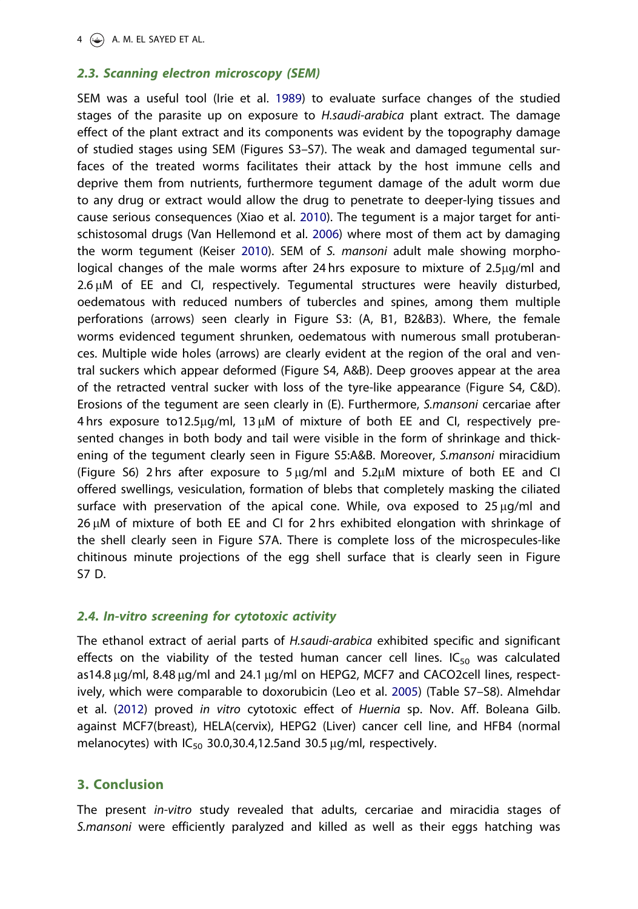#### <span id="page-4-0"></span>2.3. Scanning electron microscopy (SEM)

SEM was a useful tool (Irie et al. [1989](#page-6-0)) to evaluate surface changes of the studied stages of the parasite up on exposure to *H.saudi-arabica* plant extract. The damage effect of the plant extract and its components was evident by the topography damage of studied stages using SEM (Figures S3–S7). The weak and damaged tegumental surfaces of the treated worms facilitates their attack by the host immune cells and deprive them from nutrients, furthermore tegument damage of the adult worm due to any drug or extract would allow the drug to penetrate to deeper-lying tissues and cause serious consequences (Xiao et al. [2010\)](#page-6-0). The tegument is a major target for antischistosomal drugs (Van Hellemond et al. [2006](#page-6-0)) where most of them act by damaging the worm tegument (Keiser [2010](#page-6-0)). SEM of S. mansoni adult male showing morphological changes of the male worms after 24 hrs exposure to mixture of 2.5ug/ml and  $2.6 \mu$ M of EE and CI, respectively. Tegumental structures were heavily disturbed, oedematous with reduced numbers of tubercles and spines, among them multiple perforations (arrows) seen clearly in Figure S3: (A, B1, B2&B3). Where, the female worms evidenced tegument shrunken, oedematous with numerous small protuberances. Multiple wide holes (arrows) are clearly evident at the region of the oral and ventral suckers which appear deformed (Figure S4, A&B). Deep grooves appear at the area of the retracted ventral sucker with loss of the tyre-like appearance (Figure S4, C&D). Erosions of the tegument are seen clearly in (E). Furthermore, S.mansoni cercariae after  $4 \text{ hrs}$  exposure to12.5 $\mu$ g/ml, 13  $\mu$ M of mixture of both EE and CI, respectively presented changes in both body and tail were visible in the form of shrinkage and thickening of the tegument clearly seen in Figure S5:A&B. Moreover, S.mansoni miracidium (Figure S6) 2 hrs after exposure to  $5 \mu g/ml$  and  $5.2 \mu M$  mixture of both EE and CI offered swellings, vesiculation, formation of blebs that completely masking the ciliated surface with preservation of the apical cone. While, ova exposed to  $25 \mu g/ml$  and  $26 \mu$ M of mixture of both EE and CI for 2 hrs exhibited elongation with shrinkage of the shell clearly seen in Figure S7A. There is complete loss of the microspecules-like chitinous minute projections of the egg shell surface that is clearly seen in Figure S7 D.

### 2.4. In-vitro screening for cytotoxic activity

The ethanol extract of aerial parts of H.saudi-arabica exhibited specific and significant effects on the viability of the tested human cancer cell lines.  $IC_{50}$  was calculated as14.8  $\mu$ g/ml, 8.48  $\mu$ g/ml and 24.1  $\mu$ g/ml on HEPG2, MCF7 and CACO2cell lines, respectively, which were comparable to doxorubicin (Leo et al. [2005](#page-6-0)) (Table S7–S8). Almehdar et al. ([2012](#page-5-0)) proved in vitro cytotoxic effect of Huernia sp. Nov. Aff. Boleana Gilb. against MCF7(breast), HELA(cervix), HEPG2 (Liver) cancer cell line, and HFB4 (normal melanocytes) with  $IC_{50}$  30.0,30.4,12.5and 30.5  $\mu$ g/ml, respectively.

### 3. Conclusion

The present in-vitro study revealed that adults, cercariae and miracidia stages of S.mansoni were efficiently paralyzed and killed as well as their eggs hatching was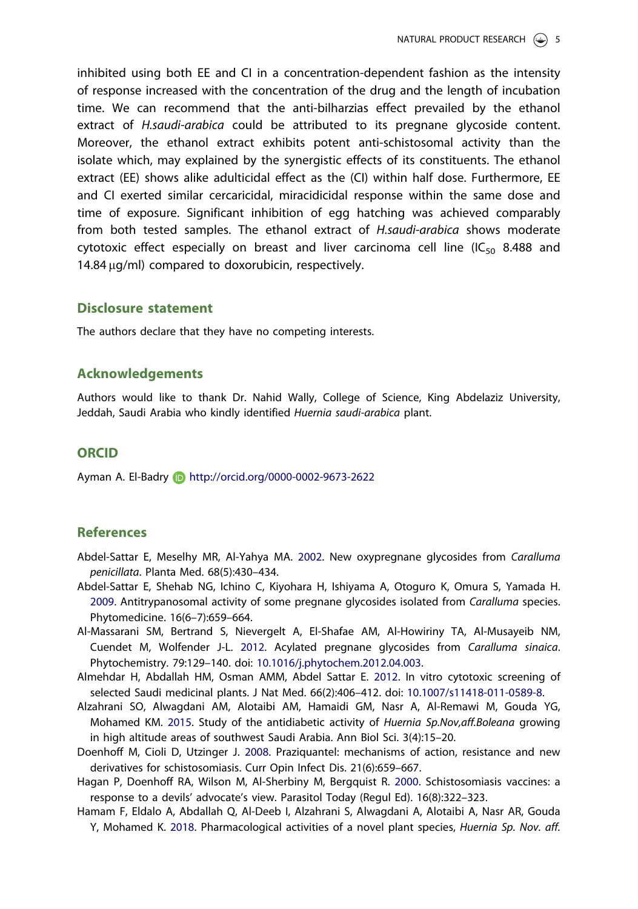<span id="page-5-0"></span>inhibited using both EE and CI in a concentration-dependent fashion as the intensity of response increased with the concentration of the drug and the length of incubation time. We can recommend that the anti-bilharzias effect prevailed by the ethanol extract of H.saudi-arabica could be attributed to its pregnane glycoside content. Moreover, the ethanol extract exhibits potent anti-schistosomal activity than the isolate which, may explained by the synergistic effects of its constituents. The ethanol extract (EE) shows alike adulticidal effect as the (CI) within half dose. Furthermore, EE and CI exerted similar cercaricidal, miracidicidal response within the same dose and time of exposure. Significant inhibition of egg hatching was achieved comparably from both tested samples. The ethanol extract of H.saudi-arabica shows moderate cytotoxic effect especially on breast and liver carcinoma cell line (IC<sub>50</sub> 8.488 and 14.84  $\mu$ g/ml) compared to doxorubicin, respectively.

#### Disclosure statement

The authors declare that they have no competing interests.

#### Acknowledgements

Authors would like to thank Dr. Nahid Wally, College of Science, King Abdelaziz University, Jeddah, Saudi Arabia who kindly identified Huernia saudi-arabica plant.

#### **ORCID**

Ayman A. El-Badry http://orcid.org/0000-0002-9673-2622

#### References

- Abdel-Sattar E, Meselhy MR, Al-Yahya MA. [2002](#page-3-0). New oxypregnane glycosides from Caralluma penicillata. Planta Med. 68(5):430–434.
- Abdel-Sattar E, Shehab NG, Ichino C, Kiyohara H, Ishiyama A, Otoguro K, Omura S, Yamada H. [2009](#page-3-0). Antitrypanosomal activity of some pregnane glycosides isolated from Caralluma species. Phytomedicine. 16(6–7):659–664.
- Al-Massarani SM, Bertrand S, Nievergelt A, El-Shafae AM, Al-Howiriny TA, Al-Musayeib NM, Cuendet M, Wolfender J-L. [2012.](#page-2-0) Acylated pregnane glycosides from Caralluma sinaica. Phytochemistry. 79:129–140. doi: [10.1016/j.phytochem.2012.04.003.](https://doi.org/10.1016/j.phytochem.2012.04.003)
- Almehdar H, Abdallah HM, Osman AMM, Abdel Sattar E. [2012.](#page-4-0) In vitro cytotoxic screening of selected Saudi medicinal plants. J Nat Med. 66(2):406–412. doi: [10.1007/s11418-011-0589-8](https://doi.org/10.1007/s11418-011-0589-8).
- Alzahrani SO, Alwagdani AM, Alotaibi AM, Hamaidi GM, Nasr A, Al-Remawi M, Gouda YG, Mohamed KM. [2015](#page-2-0). Study of the antidiabetic activity of Huernia Sp.Nov, aff.Boleana growing in high altitude areas of southwest Saudi Arabia. Ann Biol Sci. 3(4):15–20.
- Doenhoff M, Cioli D, Utzinger J. [2008.](#page-2-0) Praziquantel: mechanisms of action, resistance and new derivatives for schistosomiasis. Curr Opin Infect Dis. 21(6):659–667.
- Hagan P, Doenhoff RA, Wilson M, Al-Sherbiny M, Bergquist R. [2000.](#page-2-0) Schistosomiasis vaccines: a response to a devils' advocate's view. Parasitol Today (Regul Ed). 16(8):322–323.
- Hamam F, Eldalo A, Abdallah Q, Al-Deeb I, Alzahrani S, Alwagdani A, Alotaibi A, Nasr AR, Gouda Y, Mohamed K. [2018](#page-2-0). Pharmacological activities of a novel plant species, Huernia Sp. Nov. aff.